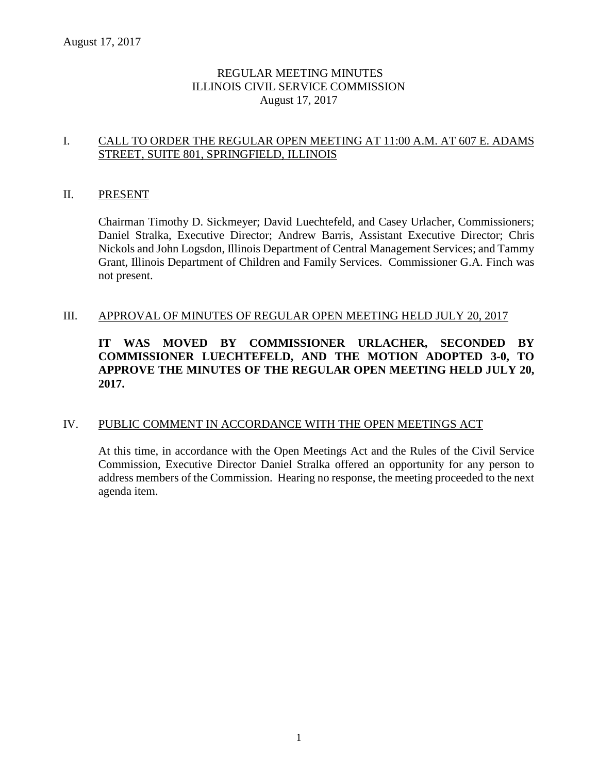# REGULAR MEETING MINUTES ILLINOIS CIVIL SERVICE COMMISSION August 17, 2017

# I. CALL TO ORDER THE REGULAR OPEN MEETING AT 11:00 A.M. AT 607 E. ADAMS STREET, SUITE 801, SPRINGFIELD, ILLINOIS

#### II. PRESENT

Chairman Timothy D. Sickmeyer; David Luechtefeld, and Casey Urlacher, Commissioners; Daniel Stralka, Executive Director; Andrew Barris, Assistant Executive Director; Chris Nickols and John Logsdon, Illinois Department of Central Management Services; and Tammy Grant, Illinois Department of Children and Family Services. Commissioner G.A. Finch was not present.

#### III. APPROVAL OF MINUTES OF REGULAR OPEN MEETING HELD JULY 20, 2017

# **IT WAS MOVED BY COMMISSIONER URLACHER, SECONDED BY COMMISSIONER LUECHTEFELD, AND THE MOTION ADOPTED 3-0, TO APPROVE THE MINUTES OF THE REGULAR OPEN MEETING HELD JULY 20, 2017.**

### IV. PUBLIC COMMENT IN ACCORDANCE WITH THE OPEN MEETINGS ACT

At this time, in accordance with the Open Meetings Act and the Rules of the Civil Service Commission, Executive Director Daniel Stralka offered an opportunity for any person to address members of the Commission. Hearing no response, the meeting proceeded to the next agenda item.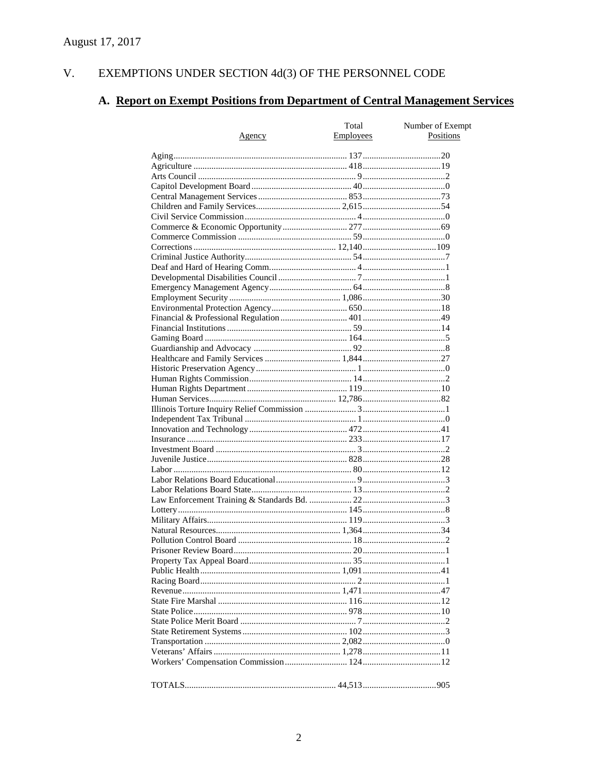#### V. EXEMPTIONS UNDER SECTION  $4d(3)$  OF THE PERSONNEL CODE

# A. Report on Exempt Positions from Department of Central Management Services

|        | Total            | Number of Exempt |
|--------|------------------|------------------|
| Agency | <b>Employees</b> | Positions        |
|        |                  |                  |
|        |                  |                  |
|        |                  |                  |
|        |                  |                  |
|        |                  |                  |
|        |                  |                  |
|        |                  |                  |
|        |                  |                  |
|        |                  |                  |
|        |                  |                  |
|        |                  |                  |
|        |                  |                  |
|        |                  |                  |
|        |                  |                  |
|        |                  |                  |
|        |                  |                  |
|        |                  |                  |
|        |                  |                  |
|        |                  |                  |
|        |                  |                  |
|        |                  |                  |
|        |                  |                  |
|        |                  |                  |
|        |                  |                  |
|        |                  |                  |
|        |                  |                  |
|        |                  |                  |
|        |                  |                  |
|        |                  |                  |
|        |                  |                  |
|        |                  |                  |
|        |                  |                  |
|        |                  |                  |
|        |                  |                  |
|        |                  |                  |
|        |                  |                  |
|        |                  |                  |
|        |                  |                  |
|        |                  |                  |
|        |                  |                  |
|        |                  |                  |
|        |                  |                  |
|        |                  |                  |
|        |                  |                  |
|        |                  |                  |
|        |                  |                  |
|        |                  |                  |
|        |                  |                  |
|        |                  |                  |
|        |                  |                  |
|        |                  |                  |
|        |                  |                  |
|        |                  |                  |
|        |                  |                  |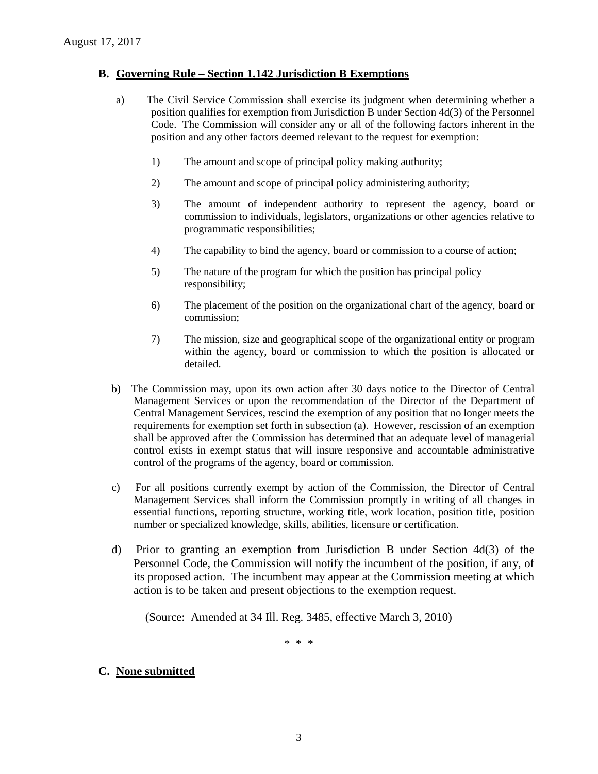### **B. Governing Rule – Section 1.142 Jurisdiction B Exemptions**

- a) The Civil Service Commission shall exercise its judgment when determining whether a position qualifies for exemption from Jurisdiction B under Section 4d(3) of the Personnel Code. The Commission will consider any or all of the following factors inherent in the position and any other factors deemed relevant to the request for exemption:
	- 1) The amount and scope of principal policy making authority;
	- 2) The amount and scope of principal policy administering authority;
	- 3) The amount of independent authority to represent the agency, board or commission to individuals, legislators, organizations or other agencies relative to programmatic responsibilities;
	- 4) The capability to bind the agency, board or commission to a course of action;
	- 5) The nature of the program for which the position has principal policy responsibility;
	- 6) The placement of the position on the organizational chart of the agency, board or commission;
	- 7) The mission, size and geographical scope of the organizational entity or program within the agency, board or commission to which the position is allocated or detailed.
- b) The Commission may, upon its own action after 30 days notice to the Director of Central Management Services or upon the recommendation of the Director of the Department of Central Management Services, rescind the exemption of any position that no longer meets the requirements for exemption set forth in subsection (a). However, rescission of an exemption shall be approved after the Commission has determined that an adequate level of managerial control exists in exempt status that will insure responsive and accountable administrative control of the programs of the agency, board or commission.
- c) For all positions currently exempt by action of the Commission, the Director of Central Management Services shall inform the Commission promptly in writing of all changes in essential functions, reporting structure, working title, work location, position title, position number or specialized knowledge, skills, abilities, licensure or certification.
- d) Prior to granting an exemption from Jurisdiction B under Section 4d(3) of the Personnel Code, the Commission will notify the incumbent of the position, if any, of its proposed action. The incumbent may appear at the Commission meeting at which action is to be taken and present objections to the exemption request.

(Source: Amended at 34 Ill. Reg. 3485, effective March 3, 2010)

\* \* \*

# **C. None submitted**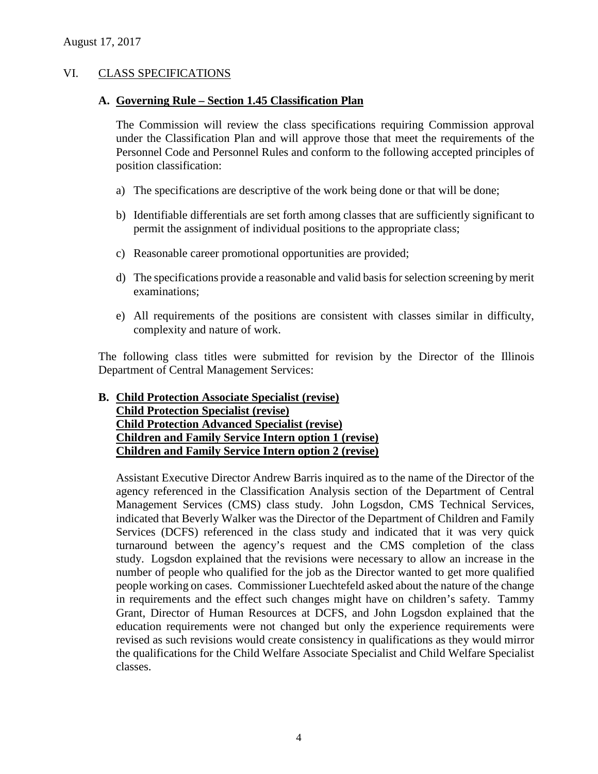### VI. CLASS SPECIFICATIONS

#### **A. Governing Rule – Section 1.45 Classification Plan**

The Commission will review the class specifications requiring Commission approval under the Classification Plan and will approve those that meet the requirements of the Personnel Code and Personnel Rules and conform to the following accepted principles of position classification:

- a) The specifications are descriptive of the work being done or that will be done;
- b) Identifiable differentials are set forth among classes that are sufficiently significant to permit the assignment of individual positions to the appropriate class;
- c) Reasonable career promotional opportunities are provided;
- d) The specifications provide a reasonable and valid basis for selection screening by merit examinations;
- e) All requirements of the positions are consistent with classes similar in difficulty, complexity and nature of work.

The following class titles were submitted for revision by the Director of the Illinois Department of Central Management Services:

# **B. Child Protection Associate Specialist (revise) Child Protection Specialist (revise) Child Protection Advanced Specialist (revise) Children and Family Service Intern option 1 (revise) Children and Family Service Intern option 2 (revise)**

Assistant Executive Director Andrew Barris inquired as to the name of the Director of the agency referenced in the Classification Analysis section of the Department of Central Management Services (CMS) class study. John Logsdon, CMS Technical Services, indicated that Beverly Walker was the Director of the Department of Children and Family Services (DCFS) referenced in the class study and indicated that it was very quick turnaround between the agency's request and the CMS completion of the class study. Logsdon explained that the revisions were necessary to allow an increase in the number of people who qualified for the job as the Director wanted to get more qualified people working on cases. Commissioner Luechtefeld asked about the nature of the change in requirements and the effect such changes might have on children's safety. Tammy Grant, Director of Human Resources at DCFS, and John Logsdon explained that the education requirements were not changed but only the experience requirements were revised as such revisions would create consistency in qualifications as they would mirror the qualifications for the Child Welfare Associate Specialist and Child Welfare Specialist classes.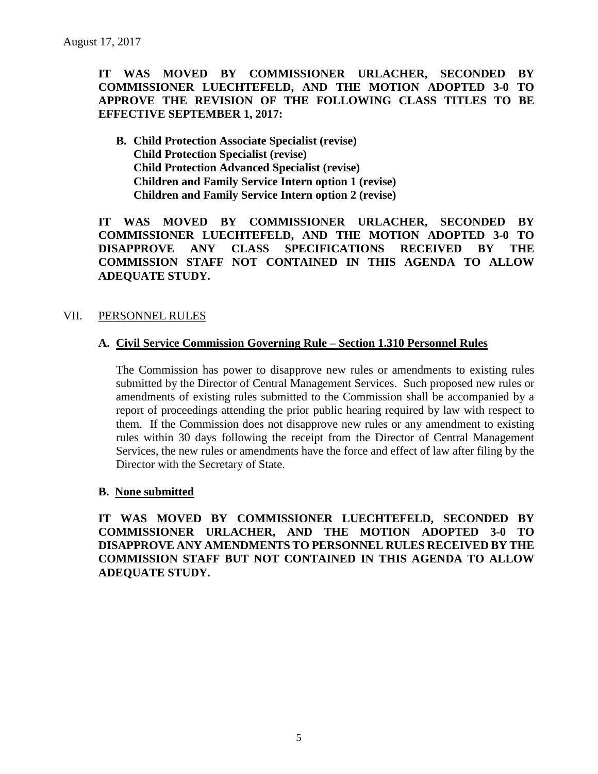# **IT WAS MOVED BY COMMISSIONER URLACHER, SECONDED BY COMMISSIONER LUECHTEFELD, AND THE MOTION ADOPTED 3-0 TO APPROVE THE REVISION OF THE FOLLOWING CLASS TITLES TO BE EFFECTIVE SEPTEMBER 1, 2017:**

**B. Child Protection Associate Specialist (revise) Child Protection Specialist (revise) Child Protection Advanced Specialist (revise) Children and Family Service Intern option 1 (revise) Children and Family Service Intern option 2 (revise)**

**IT WAS MOVED BY COMMISSIONER URLACHER, SECONDED BY COMMISSIONER LUECHTEFELD, AND THE MOTION ADOPTED 3-0 TO DISAPPROVE ANY CLASS SPECIFICATIONS RECEIVED BY THE COMMISSION STAFF NOT CONTAINED IN THIS AGENDA TO ALLOW ADEQUATE STUDY.** 

# VII. PERSONNEL RULES

### **A. Civil Service Commission Governing Rule – Section 1.310 Personnel Rules**

The Commission has power to disapprove new rules or amendments to existing rules submitted by the Director of Central Management Services. Such proposed new rules or amendments of existing rules submitted to the Commission shall be accompanied by a report of proceedings attending the prior public hearing required by law with respect to them. If the Commission does not disapprove new rules or any amendment to existing rules within 30 days following the receipt from the Director of Central Management Services, the new rules or amendments have the force and effect of law after filing by the Director with the Secretary of State.

### **B. None submitted**

**IT WAS MOVED BY COMMISSIONER LUECHTEFELD, SECONDED BY COMMISSIONER URLACHER, AND THE MOTION ADOPTED 3-0 TO DISAPPROVE ANY AMENDMENTS TO PERSONNEL RULES RECEIVED BY THE COMMISSION STAFF BUT NOT CONTAINED IN THIS AGENDA TO ALLOW ADEQUATE STUDY.**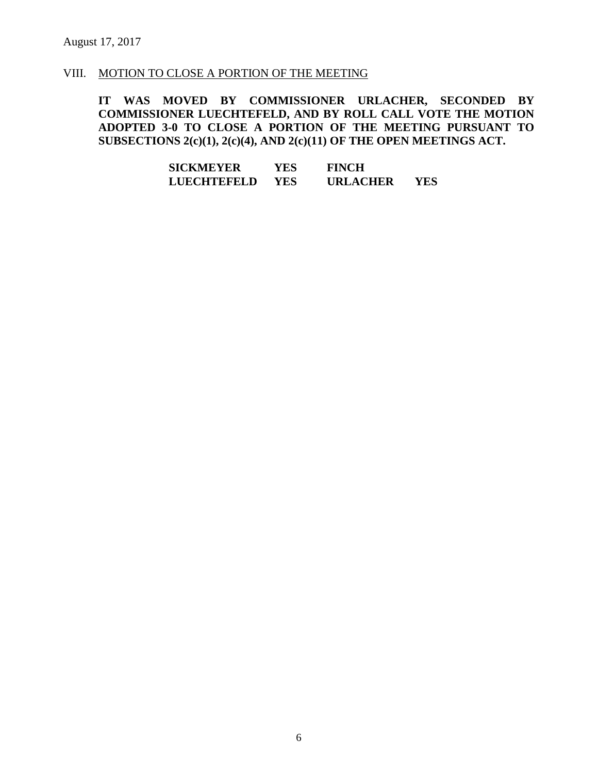#### VIII. MOTION TO CLOSE A PORTION OF THE MEETING

**IT WAS MOVED BY COMMISSIONER URLACHER, SECONDED BY COMMISSIONER LUECHTEFELD, AND BY ROLL CALL VOTE THE MOTION ADOPTED 3-0 TO CLOSE A PORTION OF THE MEETING PURSUANT TO SUBSECTIONS 2(c)(1), 2(c)(4), AND 2(c)(11) OF THE OPEN MEETINGS ACT.**

> **SICKMEYER YES FINCH LUECHTEFELD YES URLACHER YES**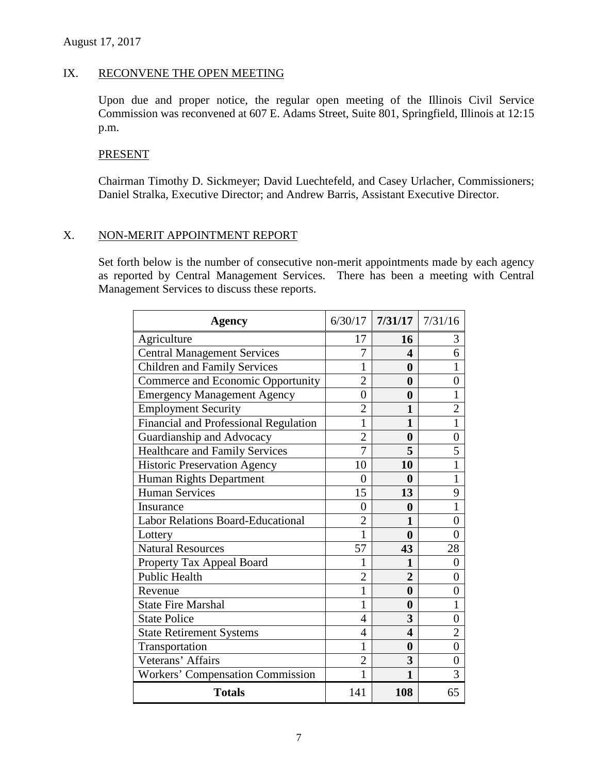# IX. RECONVENE THE OPEN MEETING

Upon due and proper notice, the regular open meeting of the Illinois Civil Service Commission was reconvened at 607 E. Adams Street, Suite 801, Springfield, Illinois at 12:15 p.m.

#### PRESENT

Chairman Timothy D. Sickmeyer; David Luechtefeld, and Casey Urlacher, Commissioners; Daniel Stralka, Executive Director; and Andrew Barris, Assistant Executive Director.

### X. NON-MERIT APPOINTMENT REPORT

Set forth below is the number of consecutive non-merit appointments made by each agency as reported by Central Management Services. There has been a meeting with Central Management Services to discuss these reports.

| <b>Agency</b>                           |                | $6/30/17$   7/31/17   7/31/16 |                |
|-----------------------------------------|----------------|-------------------------------|----------------|
| Agriculture                             | 17             | 16                            | 3              |
| <b>Central Management Services</b>      |                | 4                             | 6              |
| <b>Children and Family Services</b>     | 1              | 0                             | 1              |
| Commerce and Economic Opportunity       | $\overline{2}$ | $\bf{0}$                      | $\overline{0}$ |
| <b>Emergency Management Agency</b>      | $\overline{0}$ | $\boldsymbol{0}$              | $\mathbf{1}$   |
| <b>Employment Security</b>              | $\overline{2}$ | 1                             | $\overline{2}$ |
| Financial and Professional Regulation   | 1              | $\mathbf{1}$                  | $\overline{1}$ |
| Guardianship and Advocacy               | $\overline{c}$ | $\boldsymbol{0}$              | $\overline{0}$ |
| <b>Healthcare and Family Services</b>   | $\overline{7}$ | 5                             | 5              |
| <b>Historic Preservation Agency</b>     | 10             | 10                            | $\mathbf{1}$   |
| Human Rights Department                 | $\overline{0}$ | $\boldsymbol{0}$              | $\mathbf{1}$   |
| <b>Human Services</b>                   | 15             | 13                            | 9              |
| Insurance                               | $\overline{0}$ | $\bf{0}$                      | $\overline{1}$ |
| Labor Relations Board-Educational       | $\overline{c}$ | 1                             | $\overline{0}$ |
| Lottery                                 | $\mathbf{1}$   | $\bf{0}$                      | $\overline{0}$ |
| <b>Natural Resources</b>                | 57             | 43                            | 28             |
| Property Tax Appeal Board               |                | 1                             | 0              |
| <b>Public Health</b>                    | $\overline{2}$ | $\overline{2}$                | $\overline{0}$ |
| Revenue                                 | 1              | $\boldsymbol{0}$              | $\overline{0}$ |
| <b>State Fire Marshal</b>               | 1              | $\boldsymbol{0}$              | $\mathbf{1}$   |
| <b>State Police</b>                     | 4              | 3                             | $\overline{0}$ |
| <b>State Retirement Systems</b>         | 4              | $\overline{\mathbf{4}}$       | $\overline{2}$ |
| Transportation                          | 1              | $\bf{0}$                      | $\overline{0}$ |
| Veterans' Affairs                       | $\overline{2}$ | 3                             | $\overline{0}$ |
| <b>Workers' Compensation Commission</b> | 1              | $\mathbf{1}$                  | 3              |
| <b>Totals</b>                           | 141            | 108                           | 65             |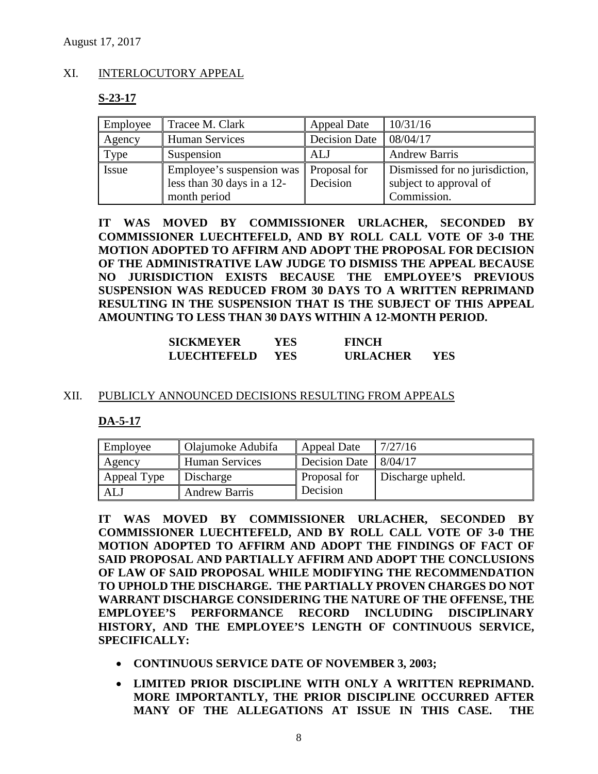# XI. INTERLOCUTORY APPEAL

# **S-23-17**

| Employee | Tracee M. Clark                                                                        | <b>Appeal Date</b>   | 10/31/16                                                                |
|----------|----------------------------------------------------------------------------------------|----------------------|-------------------------------------------------------------------------|
| Agency   | <b>Human Services</b>                                                                  | <b>Decision Date</b> | 08/04/17                                                                |
| Type     | Suspension                                                                             | ALJ                  | <b>Andrew Barris</b>                                                    |
| Issue    | Employee's suspension was   Proposal for<br>less than 30 days in a 12-<br>month period | Decision             | Dismissed for no jurisdiction,<br>subject to approval of<br>Commission. |

**IT WAS MOVED BY COMMISSIONER URLACHER, SECONDED BY COMMISSIONER LUECHTEFELD, AND BY ROLL CALL VOTE OF 3-0 THE MOTION ADOPTED TO AFFIRM AND ADOPT THE PROPOSAL FOR DECISION OF THE ADMINISTRATIVE LAW JUDGE TO DISMISS THE APPEAL BECAUSE NO JURISDICTION EXISTS BECAUSE THE EMPLOYEE'S PREVIOUS SUSPENSION WAS REDUCED FROM 30 DAYS TO A WRITTEN REPRIMAND RESULTING IN THE SUSPENSION THAT IS THE SUBJECT OF THIS APPEAL AMOUNTING TO LESS THAN 30 DAYS WITHIN A 12-MONTH PERIOD.** 

| <b>SICKMEYER</b>   | YES. | <b>FINCH</b>    |     |
|--------------------|------|-----------------|-----|
| <b>LUECHTEFELD</b> | YES- | <b>URLACHER</b> | YES |

### XII. PUBLICLY ANNOUNCED DECISIONS RESULTING FROM APPEALS

### **DA-5-17**

| Employee    | Olajumoke Adubifa     | <b>Appeal Date</b>              | 7/27/16           |
|-------------|-----------------------|---------------------------------|-------------------|
| Agency      | <b>Human Services</b> | Decision Date $\frac{8}{04/17}$ |                   |
| Appeal Type | Discharge             | Proposal for                    | Discharge upheld. |
| <b>ALJ</b>  | <b>Andrew Barris</b>  | Decision                        |                   |

**IT WAS MOVED BY COMMISSIONER URLACHER, SECONDED BY COMMISSIONER LUECHTEFELD, AND BY ROLL CALL VOTE OF 3-0 THE MOTION ADOPTED TO AFFIRM AND ADOPT THE FINDINGS OF FACT OF SAID PROPOSAL AND PARTIALLY AFFIRM AND ADOPT THE CONCLUSIONS OF LAW OF SAID PROPOSAL WHILE MODIFYING THE RECOMMENDATION TO UPHOLD THE DISCHARGE. THE PARTIALLY PROVEN CHARGES DO NOT WARRANT DISCHARGE CONSIDERING THE NATURE OF THE OFFENSE, THE EMPLOYEE'S PERFORMANCE RECORD INCLUDING DISCIPLINARY HISTORY, AND THE EMPLOYEE'S LENGTH OF CONTINUOUS SERVICE, SPECIFICALLY:**

- **CONTINUOUS SERVICE DATE OF NOVEMBER 3, 2003;**
- **LIMITED PRIOR DISCIPLINE WITH ONLY A WRITTEN REPRIMAND. MORE IMPORTANTLY, THE PRIOR DISCIPLINE OCCURRED AFTER MANY OF THE ALLEGATIONS AT ISSUE IN THIS CASE. THE**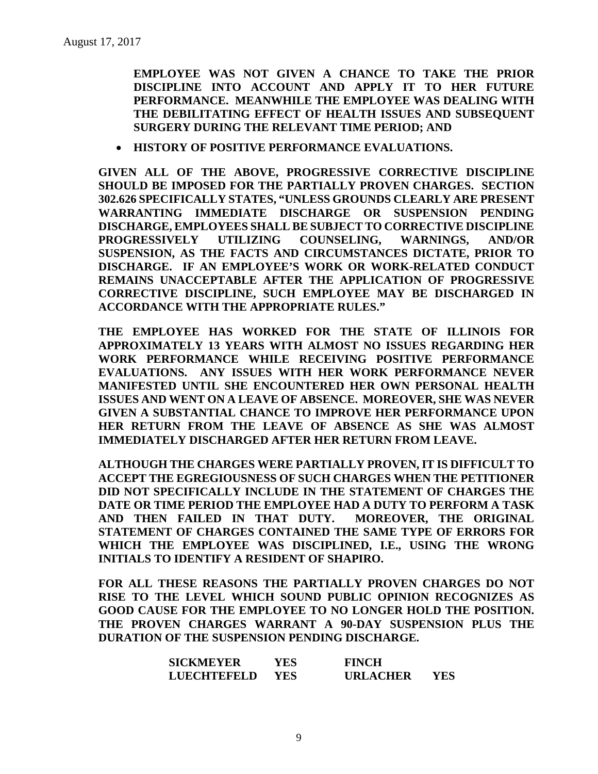**EMPLOYEE WAS NOT GIVEN A CHANCE TO TAKE THE PRIOR DISCIPLINE INTO ACCOUNT AND APPLY IT TO HER FUTURE PERFORMANCE. MEANWHILE THE EMPLOYEE WAS DEALING WITH THE DEBILITATING EFFECT OF HEALTH ISSUES AND SUBSEQUENT SURGERY DURING THE RELEVANT TIME PERIOD; AND**

• **HISTORY OF POSITIVE PERFORMANCE EVALUATIONS.**

**GIVEN ALL OF THE ABOVE, PROGRESSIVE CORRECTIVE DISCIPLINE SHOULD BE IMPOSED FOR THE PARTIALLY PROVEN CHARGES. SECTION 302.626 SPECIFICALLY STATES, "UNLESS GROUNDS CLEARLY ARE PRESENT WARRANTING IMMEDIATE DISCHARGE OR SUSPENSION PENDING DISCHARGE, EMPLOYEES SHALL BE SUBJECT TO CORRECTIVE DISCIPLINE PROGRESSIVELY UTILIZING COUNSELING, WARNINGS, AND/OR SUSPENSION, AS THE FACTS AND CIRCUMSTANCES DICTATE, PRIOR TO DISCHARGE. IF AN EMPLOYEE'S WORK OR WORK-RELATED CONDUCT REMAINS UNACCEPTABLE AFTER THE APPLICATION OF PROGRESSIVE CORRECTIVE DISCIPLINE, SUCH EMPLOYEE MAY BE DISCHARGED IN ACCORDANCE WITH THE APPROPRIATE RULES."** 

**THE EMPLOYEE HAS WORKED FOR THE STATE OF ILLINOIS FOR APPROXIMATELY 13 YEARS WITH ALMOST NO ISSUES REGARDING HER WORK PERFORMANCE WHILE RECEIVING POSITIVE PERFORMANCE EVALUATIONS. ANY ISSUES WITH HER WORK PERFORMANCE NEVER MANIFESTED UNTIL SHE ENCOUNTERED HER OWN PERSONAL HEALTH ISSUES AND WENT ON A LEAVE OF ABSENCE. MOREOVER, SHE WAS NEVER GIVEN A SUBSTANTIAL CHANCE TO IMPROVE HER PERFORMANCE UPON HER RETURN FROM THE LEAVE OF ABSENCE AS SHE WAS ALMOST IMMEDIATELY DISCHARGED AFTER HER RETURN FROM LEAVE.** 

**ALTHOUGH THE CHARGES WERE PARTIALLY PROVEN, IT IS DIFFICULT TO ACCEPT THE EGREGIOUSNESS OF SUCH CHARGES WHEN THE PETITIONER DID NOT SPECIFICALLY INCLUDE IN THE STATEMENT OF CHARGES THE DATE OR TIME PERIOD THE EMPLOYEE HAD A DUTY TO PERFORM A TASK AND THEN FAILED IN THAT DUTY. MOREOVER, THE ORIGINAL STATEMENT OF CHARGES CONTAINED THE SAME TYPE OF ERRORS FOR WHICH THE EMPLOYEE WAS DISCIPLINED, I.E., USING THE WRONG INITIALS TO IDENTIFY A RESIDENT OF SHAPIRO.** 

**FOR ALL THESE REASONS THE PARTIALLY PROVEN CHARGES DO NOT RISE TO THE LEVEL WHICH SOUND PUBLIC OPINION RECOGNIZES AS GOOD CAUSE FOR THE EMPLOYEE TO NO LONGER HOLD THE POSITION. THE PROVEN CHARGES WARRANT A 90-DAY SUSPENSION PLUS THE DURATION OF THE SUSPENSION PENDING DISCHARGE.** 

| <b>SICKMEYER</b>   | YES | <b>FINCH</b>    |     |
|--------------------|-----|-----------------|-----|
| <b>LUECHTEFELD</b> | YES | <b>URLACHER</b> | YES |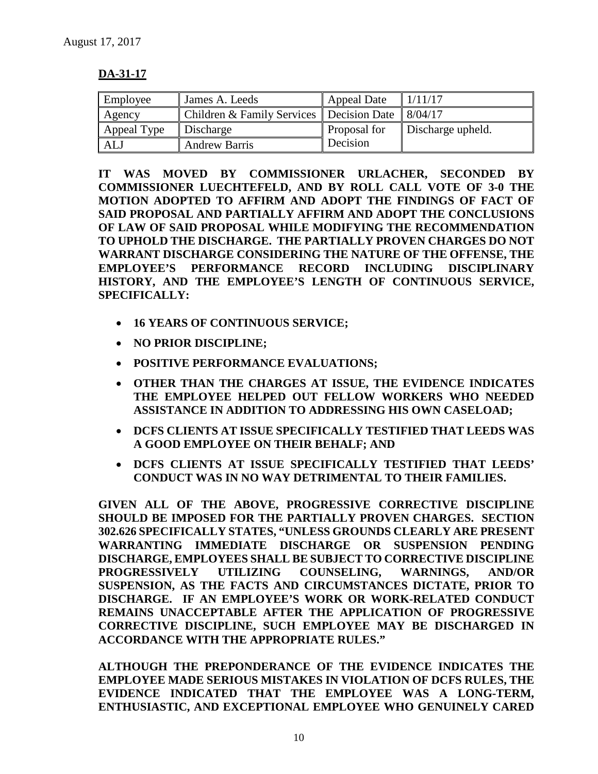# **DA-31-17**

| Employee    | James A. Leeds                             | <b>Appeal Date</b> | 1/11/17           |
|-------------|--------------------------------------------|--------------------|-------------------|
| Agency      | Children & Family Services   Decision Date |                    | 8/04/17           |
| Appeal Type | Discharge                                  | Proposal for       | Discharge upheld. |
| ALJ         | Andrew Barris                              | Decision           |                   |

**IT WAS MOVED BY COMMISSIONER URLACHER, SECONDED BY COMMISSIONER LUECHTEFELD, AND BY ROLL CALL VOTE OF 3-0 THE MOTION ADOPTED TO AFFIRM AND ADOPT THE FINDINGS OF FACT OF SAID PROPOSAL AND PARTIALLY AFFIRM AND ADOPT THE CONCLUSIONS OF LAW OF SAID PROPOSAL WHILE MODIFYING THE RECOMMENDATION TO UPHOLD THE DISCHARGE. THE PARTIALLY PROVEN CHARGES DO NOT WARRANT DISCHARGE CONSIDERING THE NATURE OF THE OFFENSE, THE EMPLOYEE'S PERFORMANCE RECORD INCLUDING DISCIPLINARY HISTORY, AND THE EMPLOYEE'S LENGTH OF CONTINUOUS SERVICE, SPECIFICALLY:**

- **16 YEARS OF CONTINUOUS SERVICE;**
- **NO PRIOR DISCIPLINE;**
- **POSITIVE PERFORMANCE EVALUATIONS;**
- **OTHER THAN THE CHARGES AT ISSUE, THE EVIDENCE INDICATES THE EMPLOYEE HELPED OUT FELLOW WORKERS WHO NEEDED ASSISTANCE IN ADDITION TO ADDRESSING HIS OWN CASELOAD;**
- **DCFS CLIENTS AT ISSUE SPECIFICALLY TESTIFIED THAT LEEDS WAS A GOOD EMPLOYEE ON THEIR BEHALF; AND**
- **DCFS CLIENTS AT ISSUE SPECIFICALLY TESTIFIED THAT LEEDS' CONDUCT WAS IN NO WAY DETRIMENTAL TO THEIR FAMILIES.**

**GIVEN ALL OF THE ABOVE, PROGRESSIVE CORRECTIVE DISCIPLINE SHOULD BE IMPOSED FOR THE PARTIALLY PROVEN CHARGES. SECTION 302.626 SPECIFICALLY STATES, "UNLESS GROUNDS CLEARLY ARE PRESENT WARRANTING IMMEDIATE DISCHARGE OR SUSPENSION PENDING DISCHARGE, EMPLOYEES SHALL BE SUBJECT TO CORRECTIVE DISCIPLINE PROGRESSIVELY UTILIZING COUNSELING, WARNINGS, AND/OR SUSPENSION, AS THE FACTS AND CIRCUMSTANCES DICTATE, PRIOR TO DISCHARGE. IF AN EMPLOYEE'S WORK OR WORK-RELATED CONDUCT REMAINS UNACCEPTABLE AFTER THE APPLICATION OF PROGRESSIVE CORRECTIVE DISCIPLINE, SUCH EMPLOYEE MAY BE DISCHARGED IN ACCORDANCE WITH THE APPROPRIATE RULES."** 

**ALTHOUGH THE PREPONDERANCE OF THE EVIDENCE INDICATES THE EMPLOYEE MADE SERIOUS MISTAKES IN VIOLATION OF DCFS RULES, THE EVIDENCE INDICATED THAT THE EMPLOYEE WAS A LONG-TERM, ENTHUSIASTIC, AND EXCEPTIONAL EMPLOYEE WHO GENUINELY CARED**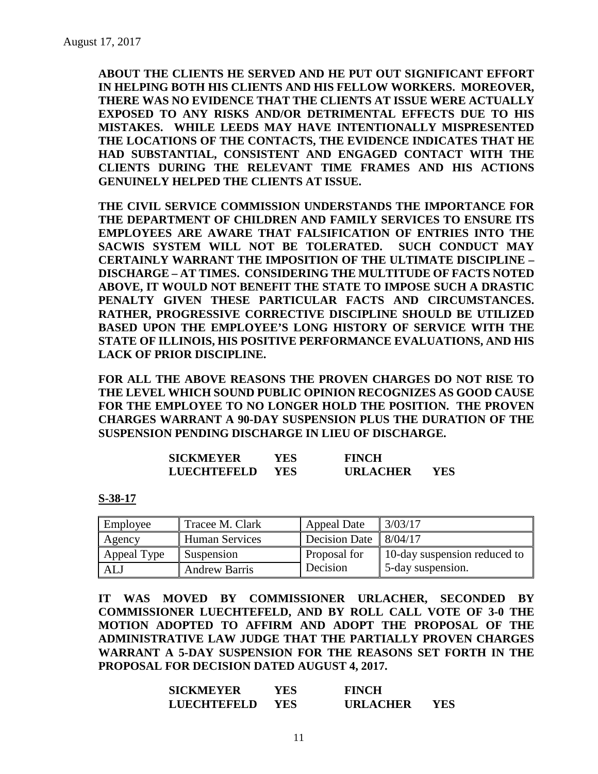**ABOUT THE CLIENTS HE SERVED AND HE PUT OUT SIGNIFICANT EFFORT IN HELPING BOTH HIS CLIENTS AND HIS FELLOW WORKERS. MOREOVER, THERE WAS NO EVIDENCE THAT THE CLIENTS AT ISSUE WERE ACTUALLY EXPOSED TO ANY RISKS AND/OR DETRIMENTAL EFFECTS DUE TO HIS MISTAKES. WHILE LEEDS MAY HAVE INTENTIONALLY MISPRESENTED THE LOCATIONS OF THE CONTACTS, THE EVIDENCE INDICATES THAT HE HAD SUBSTANTIAL, CONSISTENT AND ENGAGED CONTACT WITH THE CLIENTS DURING THE RELEVANT TIME FRAMES AND HIS ACTIONS GENUINELY HELPED THE CLIENTS AT ISSUE.** 

**THE CIVIL SERVICE COMMISSION UNDERSTANDS THE IMPORTANCE FOR THE DEPARTMENT OF CHILDREN AND FAMILY SERVICES TO ENSURE ITS EMPLOYEES ARE AWARE THAT FALSIFICATION OF ENTRIES INTO THE SACWIS SYSTEM WILL NOT BE TOLERATED. SUCH CONDUCT MAY CERTAINLY WARRANT THE IMPOSITION OF THE ULTIMATE DISCIPLINE – DISCHARGE – AT TIMES. CONSIDERING THE MULTITUDE OF FACTS NOTED ABOVE, IT WOULD NOT BENEFIT THE STATE TO IMPOSE SUCH A DRASTIC PENALTY GIVEN THESE PARTICULAR FACTS AND CIRCUMSTANCES. RATHER, PROGRESSIVE CORRECTIVE DISCIPLINE SHOULD BE UTILIZED BASED UPON THE EMPLOYEE'S LONG HISTORY OF SERVICE WITH THE STATE OF ILLINOIS, HIS POSITIVE PERFORMANCE EVALUATIONS, AND HIS LACK OF PRIOR DISCIPLINE.**

**FOR ALL THE ABOVE REASONS THE PROVEN CHARGES DO NOT RISE TO THE LEVEL WHICH SOUND PUBLIC OPINION RECOGNIZES AS GOOD CAUSE FOR THE EMPLOYEE TO NO LONGER HOLD THE POSITION. THE PROVEN CHARGES WARRANT A 90-DAY SUSPENSION PLUS THE DURATION OF THE SUSPENSION PENDING DISCHARGE IN LIEU OF DISCHARGE.** 

| <b>SICKMEYER</b>   | YES  | <b>FINCH</b>    |     |
|--------------------|------|-----------------|-----|
| <b>LUECHTEFELD</b> | YES. | <b>URLACHER</b> | YES |

**S-38-17**

| Employee    | Tracee M. Clark       | Appeal Date   | 3/03/17                      |
|-------------|-----------------------|---------------|------------------------------|
| Agency      | <b>Human Services</b> | Decision Date | 8/04/17                      |
| Appeal Type | Suspension            | Proposal for  | 10-day suspension reduced to |
| <b>ALJ</b>  | <b>Andrew Barris</b>  | Decision      | 5-day suspension.            |

**IT WAS MOVED BY COMMISSIONER URLACHER, SECONDED BY COMMISSIONER LUECHTEFELD, AND BY ROLL CALL VOTE OF 3-0 THE MOTION ADOPTED TO AFFIRM AND ADOPT THE PROPOSAL OF THE ADMINISTRATIVE LAW JUDGE THAT THE PARTIALLY PROVEN CHARGES WARRANT A 5-DAY SUSPENSION FOR THE REASONS SET FORTH IN THE PROPOSAL FOR DECISION DATED AUGUST 4, 2017.**

| <b>SICKMEYER</b>   | YES  | <b>FINCH</b>    |     |
|--------------------|------|-----------------|-----|
| <b>LUECHTEFELD</b> | YES. | <b>URLACHER</b> | YES |